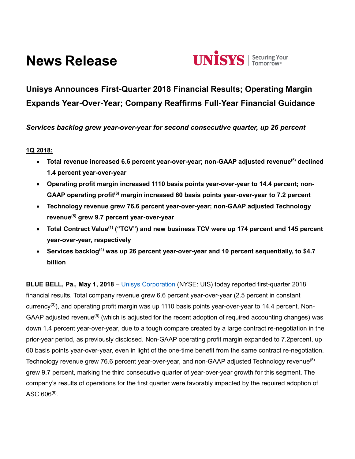# **News Release**



# **Unisys Announces First-Quarter 2018 Financial Results; Operating Margin Expands Year-Over-Year; Company Reaffirms Full-Year Financial Guidance**

*Services backlog grew year-over-year for second consecutive quarter, up 26 percent*

# **1Q 2018:**

- **Total revenue increased 6.6 percent year-over-year; non-GAAP adjusted revenue(5) declined 1.4 percent year-over-year**
- **Operating profit margin increased 1110 basis points year-over-year to 14.4 percent; non-GAAP operating profit(6) margin increased 60 basis points year-over-year to 7.2 percent**
- **Technology revenue grew 76.6 percent year-over-year; non-GAAP adjusted Technology revenue(5) grew 9.7 percent year-over-year**
- **Total Contract Value(1) ("TCV") and new business TCV were up 174 percent and 145 percent year-over-year, respectively**
- **Services backlog(4) was up 26 percent year-over-year and 10 percent sequentially, to \$4.7 billion**

**BLUE BELL, Pa., May 1, 2018** – [Unisys Corporation](http://www.unisys.com/) (NYSE: UIS) today reported first-quarter 2018 financial results. Total company revenue grew 6.6 percent year-over-year (2.5 percent in constant currency<sup>(3)</sup>), and operating profit margin was up 1110 basis points year-over-year to 14.4 percent. Non-GAAP adjusted revenue<sup>(5)</sup> (which is adjusted for the recent adoption of required accounting changes) was down 1.4 percent year-over-year, due to a tough compare created by a large contract re-negotiation in the prior-year period, as previously disclosed. Non-GAAP operating profit margin expanded to 7.2percent, up 60 basis points year-over-year, even in light of the one-time benefit from the same contract re-negotiation. Technology revenue grew 76.6 percent year-over-year, and non-GAAP adjusted Technology revenue<sup>(5)</sup> grew 9.7 percent, marking the third consecutive quarter of year-over-year growth for this segment. The company's results of operations for the first quarter were favorably impacted by the required adoption of  $\mathsf{ASC}\ 606^{(5)}.$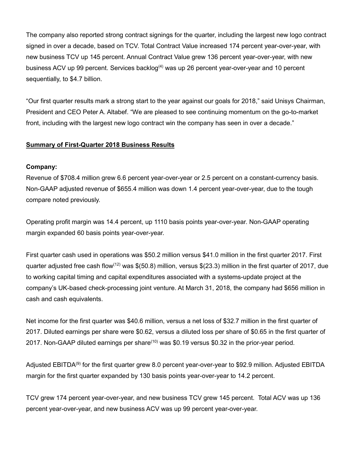The company also reported strong contract signings for the quarter, including the largest new logo contract signed in over a decade, based on TCV. Total Contract Value increased 174 percent year-over-year, with new business TCV up 145 percent. Annual Contract Value grew 136 percent year-over-year, with new business ACV up 99 percent. Services backlog<sup>(4)</sup> was up 26 percent year-over-year and 10 percent sequentially, to \$4.7 billion.

"Our first quarter results mark a strong start to the year against our goals for 2018," said Unisys Chairman, President and CEO Peter A. Altabef. "We are pleased to see continuing momentum on the go-to-market front, including with the largest new logo contract win the company has seen in over a decade."

### **Summary of First-Quarter 2018 Business Results**

#### **Company:**

Revenue of \$708.4 million grew 6.6 percent year-over-year or 2.5 percent on a constant-currency basis. Non-GAAP adjusted revenue of \$655.4 million was down 1.4 percent year-over-year, due to the tough compare noted previously.

Operating profit margin was 14.4 percent, up 1110 basis points year-over-year. Non-GAAP operating margin expanded 60 basis points year-over-year.

First quarter cash used in operations was \$50.2 million versus \$41.0 million in the first quarter 2017. First quarter adjusted free cash flow<sup>(12)</sup> was \$(50.8) million, versus \$(23.3) million in the first quarter of 2017, due to working capital timing and capital expenditures associated with a systems-update project at the company's UK-based check-processing joint venture. At March 31, 2018, the company had \$656 million in cash and cash equivalents.

Net income for the first quarter was \$40.6 million, versus a net loss of \$32.7 million in the first quarter of 2017. Diluted earnings per share were \$0.62, versus a diluted loss per share of \$0.65 in the first quarter of 2017. Non-GAAP diluted earnings per share<sup>(10)</sup> was \$0.19 versus \$0.32 in the prior-year period.

Adjusted EBITDA<sup>(9)</sup> for the first quarter grew 8.0 percent year-over-year to \$92.9 million. Adjusted EBITDA margin for the first quarter expanded by 130 basis points year-over-year to 14.2 percent.

TCV grew 174 percent year-over-year, and new business TCV grew 145 percent. Total ACV was up 136 percent year-over-year, and new business ACV was up 99 percent year-over-year.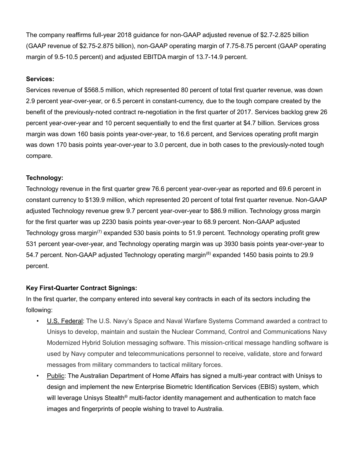The company reaffirms full-year 2018 guidance for non-GAAP adjusted revenue of \$2.7-2.825 billion (GAAP revenue of \$2.75-2.875 billion), non-GAAP operating margin of 7.75-8.75 percent (GAAP operating margin of 9.5-10.5 percent) and adjusted EBITDA margin of 13.7-14.9 percent.

#### **Services:**

Services revenue of \$568.5 million, which represented 80 percent of total first quarter revenue, was down 2.9 percent year-over-year, or 6.5 percent in constant-currency, due to the tough compare created by the benefit of the previously-noted contract re-negotiation in the first quarter of 2017. Services backlog grew 26 percent year-over-year and 10 percent sequentially to end the first quarter at \$4.7 billion. Services gross margin was down 160 basis points year-over-year, to 16.6 percent, and Services operating profit margin was down 170 basis points year-over-year to 3.0 percent, due in both cases to the previously-noted tough compare.

#### **Technology:**

Technology revenue in the first quarter grew 76.6 percent year-over-year as reported and 69.6 percent in constant currency to \$139.9 million, which represented 20 percent of total first quarter revenue. Non-GAAP adjusted Technology revenue grew 9.7 percent year-over-year to \$86.9 million. Technology gross margin for the first quarter was up 2230 basis points year-over-year to 68.9 percent. Non-GAAP adjusted Technology gross margin<sup>(7)</sup> expanded 530 basis points to 51.9 percent. Technology operating profit grew 531 percent year-over-year, and Technology operating margin was up 3930 basis points year-over-year to 54.7 percent. Non-GAAP adjusted Technology operating margin<sup>(8)</sup> expanded 1450 basis points to 29.9 percent.

#### **Key First-Quarter Contract Signings:**

In the first quarter, the company entered into several key contracts in each of its sectors including the following:

- U.S. Federal: The U.S. Navy's Space and Naval Warfare Systems Command awarded a contract to Unisys to develop, maintain and sustain the Nuclear Command, Control and Communications Navy Modernized Hybrid Solution messaging software. This mission-critical message handling software is used by Navy computer and telecommunications personnel to receive, validate, store and forward messages from military commanders to tactical military forces.
- Public: The Australian Department of Home Affairs has signed a multi-year contract with Unisys to design and implement the new Enterprise Biometric Identification Services (EBIS) system, which will leverage Unisys Stealth<sup>®</sup> multi-factor identity management and authentication to match face images and fingerprints of people wishing to travel to Australia.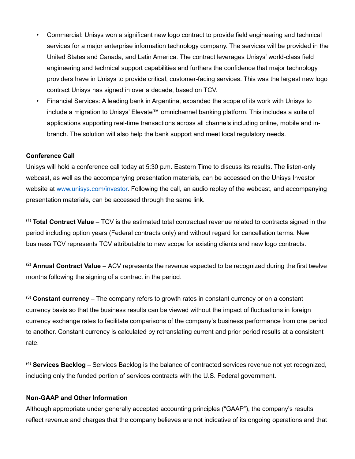- Commercial: Unisys won a significant new logo contract to provide field engineering and technical services for a major enterprise information technology company. The services will be provided in the United States and Canada, and Latin America. The contract leverages Unisys' world-class field engineering and technical support capabilities and furthers the confidence that major technology providers have in Unisys to provide critical, customer-facing services. This was the largest new logo contract Unisys has signed in over a decade, based on TCV.
- Financial Services: A leading bank in Argentina, expanded the scope of its work with Unisys to include a migration to Unisys' Elevate™ omnichannel banking platform. This includes a suite of applications supporting real-time transactions across all channels including online, mobile and inbranch. The solution will also help the bank support and meet local regulatory needs.

#### **Conference Call**

Unisys will hold a conference call today at 5:30 p.m. Eastern Time to discuss its results. The listen-only webcast, as well as the accompanying presentation materials, can be accessed on the Unisys Investor website at [www.unisys.com/investor.](http://www.unisys.com/investor) Following the call, an audio replay of the webcast, and accompanying presentation materials, can be accessed through the same link.

(1) **Total Contract Value** – TCV is the estimated total contractual revenue related to contracts signed in the period including option years (Federal contracts only) and without regard for cancellation terms. New business TCV represents TCV attributable to new scope for existing clients and new logo contracts.

(2) **Annual Contract Value** – ACV represents the revenue expected to be recognized during the first twelve months following the signing of a contract in the period.

(3) **Constant currency** – The company refers to growth rates in constant currency or on a constant currency basis so that the business results can be viewed without the impact of fluctuations in foreign currency exchange rates to facilitate comparisons of the company's business performance from one period to another. Constant currency is calculated by retranslating current and prior period results at a consistent rate.

(4) **Services Backlog** – Services Backlog is the balance of contracted services revenue not yet recognized, including only the funded portion of services contracts with the U.S. Federal government.

#### **Non-GAAP and Other Information**

Although appropriate under generally accepted accounting principles ("GAAP"), the company's results reflect revenue and charges that the company believes are not indicative of its ongoing operations and that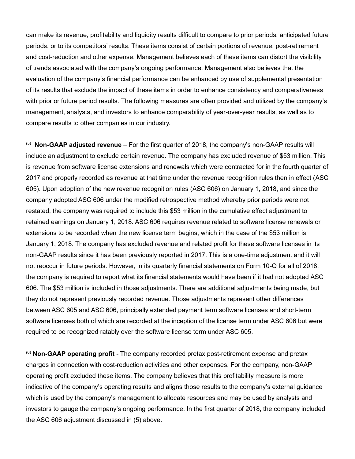can make its revenue, profitability and liquidity results difficult to compare to prior periods, anticipated future periods, or to its competitors' results. These items consist of certain portions of revenue, post-retirement and cost-reduction and other expense. Management believes each of these items can distort the visibility of trends associated with the company's ongoing performance. Management also believes that the evaluation of the company's financial performance can be enhanced by use of supplemental presentation of its results that exclude the impact of these items in order to enhance consistency and comparativeness with prior or future period results. The following measures are often provided and utilized by the company's management, analysts, and investors to enhance comparability of year-over-year results, as well as to compare results to other companies in our industry.

<sup>(5)</sup> Non-GAAP adjusted revenue – For the first quarter of 2018, the company's non-GAAP results will include an adjustment to exclude certain revenue. The company has excluded revenue of \$53 million. This is revenue from software license extensions and renewals which were contracted for in the fourth quarter of 2017 and properly recorded as revenue at that time under the revenue recognition rules then in effect (ASC 605). Upon adoption of the new revenue recognition rules (ASC 606) on January 1, 2018, and since the company adopted ASC 606 under the modified retrospective method whereby prior periods were not restated, the company was required to include this \$53 million in the cumulative effect adjustment to retained earnings on January 1, 2018. ASC 606 requires revenue related to software license renewals or extensions to be recorded when the new license term begins, which in the case of the \$53 million is January 1, 2018. The company has excluded revenue and related profit for these software licenses in its non-GAAP results since it has been previously reported in 2017. This is a one-time adjustment and it will not reoccur in future periods. However, in its quarterly financial statements on Form 10-Q for all of 2018, the company is required to report what its financial statements would have been if it had not adopted ASC 606. The \$53 million is included in those adjustments. There are additional adjustments being made, but they do not represent previously recorded revenue. Those adjustments represent other differences between ASC 605 and ASC 606, principally extended payment term software licenses and short-term software licenses both of which are recorded at the inception of the license term under ASC 606 but were required to be recognized ratably over the software license term under ASC 605.

(6) **Non-GAAP operating profit** - The company recorded pretax post-retirement expense and pretax charges in connection with cost-reduction activities and other expenses. For the company, non-GAAP operating profit excluded these items. The company believes that this profitability measure is more indicative of the company's operating results and aligns those results to the company's external guidance which is used by the company's management to allocate resources and may be used by analysts and investors to gauge the company's ongoing performance. In the first quarter of 2018, the company included the ASC 606 adjustment discussed in (5) above.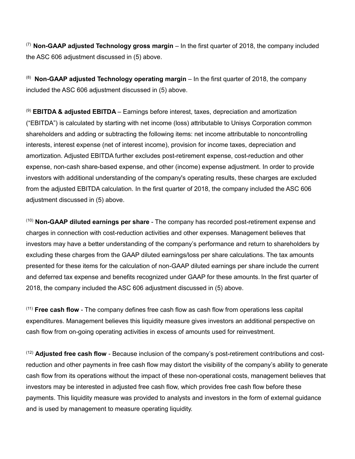(7) **Non-GAAP adjusted Technology gross margin** – In the first quarter of 2018, the company included the ASC 606 adjustment discussed in (5) above.

(8) **Non-GAAP adjusted Technology operating margin** – In the first quarter of 2018, the company included the ASC 606 adjustment discussed in (5) above.

(9) **EBITDA & adjusted EBITDA** – Earnings before interest, taxes, depreciation and amortization ("EBITDA") is calculated by starting with net income (loss) attributable to Unisys Corporation common shareholders and adding or subtracting the following items: net income attributable to noncontrolling interests, interest expense (net of interest income), provision for income taxes, depreciation and amortization. Adjusted EBITDA further excludes post-retirement expense, cost-reduction and other expense, non-cash share-based expense, and other (income) expense adjustment. In order to provide investors with additional understanding of the company's operating results, these charges are excluded from the adjusted EBITDA calculation. In the first quarter of 2018, the company included the ASC 606 adjustment discussed in (5) above.

(10) **Non-GAAP diluted earnings per share** - The company has recorded post-retirement expense and charges in connection with cost-reduction activities and other expenses. Management believes that investors may have a better understanding of the company's performance and return to shareholders by excluding these charges from the GAAP diluted earnings/loss per share calculations. The tax amounts presented for these items for the calculation of non-GAAP diluted earnings per share include the current and deferred tax expense and benefits recognized under GAAP for these amounts. In the first quarter of 2018, the company included the ASC 606 adjustment discussed in (5) above.

(11) **Free cash flow** - The company defines free cash flow as cash flow from operations less capital expenditures. Management believes this liquidity measure gives investors an additional perspective on cash flow from on-going operating activities in excess of amounts used for reinvestment.

(12) **Adjusted free cash flow** - Because inclusion of the company's post-retirement contributions and costreduction and other payments in free cash flow may distort the visibility of the company's ability to generate cash flow from its operations without the impact of these non-operational costs, management believes that investors may be interested in adjusted free cash flow, which provides free cash flow before these payments. This liquidity measure was provided to analysts and investors in the form of external guidance and is used by management to measure operating liquidity.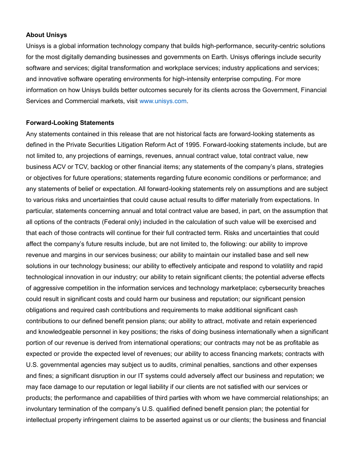#### **About Unisys**

Unisys is a global information technology company that builds high-performance, security-centric solutions for the most digitally demanding businesses and governments on Earth. Unisys offerings include security software and services; digital transformation and workplace services; industry applications and services; and innovative software operating environments for high-intensity enterprise computing. For more information on how Unisys builds better outcomes securely for its clients across the Government, Financial Services and Commercial markets, visit [www.unisys.com.](http://www.unisys.com/)

#### **Forward-Looking Statements**

Any statements contained in this release that are not historical facts are forward-looking statements as defined in the Private Securities Litigation Reform Act of 1995. Forward-looking statements include, but are not limited to, any projections of earnings, revenues, annual contract value, total contract value, new business ACV or TCV, backlog or other financial items; any statements of the company's plans, strategies or objectives for future operations; statements regarding future economic conditions or performance; and any statements of belief or expectation. All forward-looking statements rely on assumptions and are subject to various risks and uncertainties that could cause actual results to differ materially from expectations. In particular, statements concerning annual and total contract value are based, in part, on the assumption that all options of the contracts (Federal only) included in the calculation of such value will be exercised and that each of those contracts will continue for their full contracted term. Risks and uncertainties that could affect the company's future results include, but are not limited to, the following: our ability to improve revenue and margins in our services business; our ability to maintain our installed base and sell new solutions in our technology business; our ability to effectively anticipate and respond to volatility and rapid technological innovation in our industry; our ability to retain significant clients; the potential adverse effects of aggressive competition in the information services and technology marketplace; cybersecurity breaches could result in significant costs and could harm our business and reputation; our significant pension obligations and required cash contributions and requirements to make additional significant cash contributions to our defined benefit pension plans; our ability to attract, motivate and retain experienced and knowledgeable personnel in key positions; the risks of doing business internationally when a significant portion of our revenue is derived from international operations; our contracts may not be as profitable as expected or provide the expected level of revenues; our ability to access financing markets; contracts with U.S. governmental agencies may subject us to audits, criminal penalties, sanctions and other expenses and fines; a significant disruption in our IT systems could adversely affect our business and reputation; we may face damage to our reputation or legal liability if our clients are not satisfied with our services or products; the performance and capabilities of third parties with whom we have commercial relationships; an involuntary termination of the company's U.S. qualified defined benefit pension plan; the potential for intellectual property infringement claims to be asserted against us or our clients; the business and financial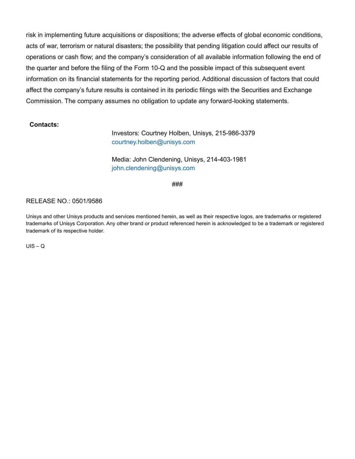risk in implementing future acquisitions or dispositions; the adverse effects of global economic conditions, acts of war, terrorism or natural disasters; the possibility that pending litigation could affect our results of operations or cash flow; and the company's consideration of all available information following the end of the quarter and before the filing of the Form 10-Q and the possible impact of this subsequent event information on its financial statements for the reporting period. Additional discussion of factors that could affect the company's future results is contained in its periodic filings with the Securities and Exchange Commission. The company assumes no obligation to update any forward-looking statements.

#### **Contacts:**

Investors: Courtney Holben, Unisys, 215-986-3379 [courtney.holben@unisys.com](mailto:courtney.holben@unisys.com)

Media: John Clendening, Unisys, 214-403-1981 [john.clendening@unisys.com](mailto:john.clendening@unisys.com)

###

#### RELEASE NO.: 0501/9586

Unisys and other Unisys products and services mentioned herein, as well as their respective logos, are trademarks or registered trademarks of Unisys Corporation. Any other brand or product referenced herein is acknowledged to be a trademark or registered trademark of its respective holder.

 $UIS - Q$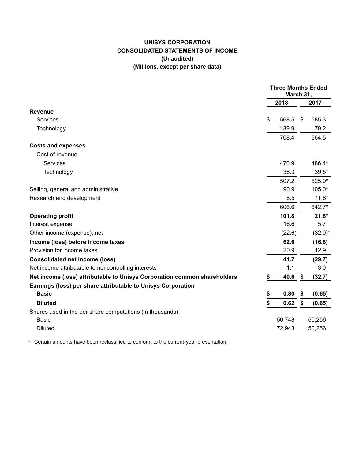# **UNISYS CORPORATION CONSOLIDATED STATEMENTS OF INCOME (Unaudited) (Millions, except per share data)**

|                                                                          | <b>Three Months Ended</b><br>March 31, |        |    |            |
|--------------------------------------------------------------------------|----------------------------------------|--------|----|------------|
|                                                                          |                                        | 2018   |    | 2017       |
| <b>Revenue</b>                                                           |                                        |        |    |            |
| <b>Services</b>                                                          | \$                                     | 568.5  | \$ | 585.3      |
| Technology                                                               |                                        | 139.9  |    | 79.2       |
|                                                                          |                                        | 708.4  |    | 664.5      |
| <b>Costs and expenses</b>                                                |                                        |        |    |            |
| Cost of revenue:                                                         |                                        |        |    |            |
| Services                                                                 |                                        | 470.9  |    | 486.4*     |
| Technology                                                               |                                        | 36.3   |    | $39.5*$    |
|                                                                          |                                        | 507.2  |    | 525.9*     |
| Selling, general and administrative                                      |                                        | 90.9   |    | 105.0*     |
| Research and development                                                 |                                        | 8.5    |    | $11.8*$    |
|                                                                          |                                        | 606.6  |    | 642.7*     |
| <b>Operating profit</b>                                                  |                                        | 101.8  |    | $21.8*$    |
| Interest expense                                                         |                                        | 16.6   |    | 5.7        |
| Other income (expense), net                                              |                                        | (22.6) |    | $(32.9)^*$ |
| Income (loss) before income taxes                                        |                                        | 62.6   |    | (16.8)     |
| Provision for income taxes                                               |                                        | 20.9   |    | 12.9       |
| <b>Consolidated net income (loss)</b>                                    |                                        | 41.7   |    | (29.7)     |
| Net income attributable to noncontrolling interests                      |                                        | 1.1    |    | 3.0        |
| Net income (loss) attributable to Unisys Corporation common shareholders | \$                                     | 40.6   | \$ | (32.7)     |
| Earnings (loss) per share attributable to Unisys Corporation             |                                        |        |    |            |
| <b>Basic</b>                                                             | \$                                     | 0.80   | \$ | (0.65)     |
| <b>Diluted</b>                                                           | \$                                     | 0.62   | \$ | (0.65)     |
| Shares used in the per share computations (in thousands):                |                                        |        |    |            |
| <b>Basic</b>                                                             |                                        | 50,748 |    | 50,256     |
| <b>Diluted</b>                                                           |                                        | 72,943 |    | 50,256     |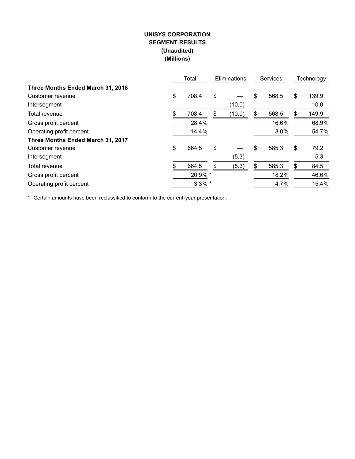# **UNISYS CORPORATION SEGMENT RESULTS (Unaudited) (Millions)**

|                                   |    | Total     | Eliminations | <b>Services</b> |       | Technology  |
|-----------------------------------|----|-----------|--------------|-----------------|-------|-------------|
| Three Months Ended March 31, 2018 |    |           |              |                 |       |             |
| Customer revenue                  | \$ | 708.4     | \$           | \$              | 568.5 | \$<br>139.9 |
| Intersegment                      |    |           | (10.0)       |                 |       | 10.0        |
| Total revenue                     | S  | 708.4     | \$<br>(10.0) | \$              | 568.5 | \$<br>149.9 |
| Gross profit percent              |    | 28.4%     |              |                 | 16.6% | 68.9%       |
| Operating profit percent          |    | 14.4%     |              |                 | 3.0%  | 54.7%       |
| Three Months Ended March 31, 2017 |    |           |              |                 |       |             |
| Customer revenue                  | \$ | 664.5     | \$           | \$              | 585.3 | \$<br>79.2  |
| Intersegment                      |    |           | (5.3)        |                 |       | 5.3         |
| Total revenue                     | S. | 664.5     | \$<br>(5.3)  | \$              | 585.3 | \$<br>84.5  |
| Gross profit percent              |    | 20.9% *   |              |                 | 18.2% | 46.6%       |
| Operating profit percent          |    | $3.3\%$ * |              |                 | 4.7%  | 15.4%       |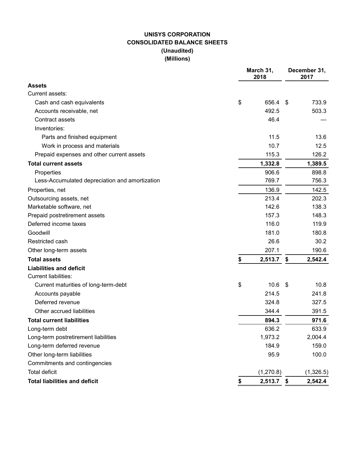# **UNISYS CORPORATION CONSOLIDATED BALANCE SHEETS (Unaudited) (Millions)**

|                                                | March 31,<br>2018 | December 31,<br>2017 |           |  |  |
|------------------------------------------------|-------------------|----------------------|-----------|--|--|
| Assets                                         |                   |                      |           |  |  |
| Current assets:                                |                   |                      |           |  |  |
| Cash and cash equivalents                      | \$<br>656.4       | -\$                  | 733.9     |  |  |
| Accounts receivable, net                       | 492.5             |                      | 503.3     |  |  |
| Contract assets                                | 46.4              |                      |           |  |  |
| Inventories:                                   |                   |                      |           |  |  |
| Parts and finished equipment                   | 11.5              |                      | 13.6      |  |  |
| Work in process and materials                  | 10.7              |                      | 12.5      |  |  |
| Prepaid expenses and other current assets      | 115.3             |                      | 126.2     |  |  |
| <b>Total current assets</b>                    | 1,332.8           |                      | 1,389.5   |  |  |
| Properties                                     | 906.6             |                      | 898.8     |  |  |
| Less-Accumulated depreciation and amortization | 769.7             |                      | 756.3     |  |  |
| Properties, net                                | 136.9             |                      | 142.5     |  |  |
| Outsourcing assets, net                        | 213.4             |                      | 202.3     |  |  |
| Marketable software, net                       | 142.6             |                      | 138.3     |  |  |
| Prepaid postretirement assets                  | 157.3             |                      | 148.3     |  |  |
| Deferred income taxes                          | 116.0             |                      | 119.9     |  |  |
| Goodwill                                       | 181.0             |                      | 180.8     |  |  |
| Restricted cash                                | 26.6              |                      | 30.2      |  |  |
| Other long-term assets                         | 207.1             |                      | 190.6     |  |  |
| <b>Total assets</b>                            | \$<br>2,513.7     | \$                   | 2,542.4   |  |  |
| <b>Liabilities and deficit</b>                 |                   |                      |           |  |  |
| <b>Current liabilities:</b>                    |                   |                      |           |  |  |
| Current maturities of long-term-debt           | \$<br>10.6        | \$                   | 10.8      |  |  |
| Accounts payable                               | 214.5             |                      | 241.8     |  |  |
| Deferred revenue                               | 324.8             |                      | 327.5     |  |  |
| Other accrued liabilities                      | 344.4             |                      | 391.5     |  |  |
| <b>Total current liabilities</b>               | 894.3             |                      | 971.6     |  |  |
| Long-term debt                                 | 636.2             |                      | 633.9     |  |  |
| Long-term postretirement liabilities           | 1,973.2           |                      | 2,004.4   |  |  |
| Long-term deferred revenue                     | 184.9             |                      | 159.0     |  |  |
| Other long-term liabilities                    | 95.9              |                      | 100.0     |  |  |
| Commitments and contingencies                  |                   |                      |           |  |  |
| <b>Total deficit</b>                           | (1,270.8)         |                      | (1,326.5) |  |  |
| <b>Total liabilities and deficit</b>           | \$<br>2,513.7 \$  |                      | 2,542.4   |  |  |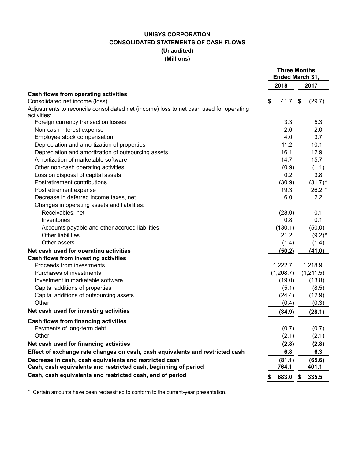# **UNISYS CORPORATION CONSOLIDATED STATEMENTS OF CASH FLOWS (Unaudited) (Millions)**

|                                                                                        |             | <b>Three Months</b><br>Ended March 31, |
|----------------------------------------------------------------------------------------|-------------|----------------------------------------|
|                                                                                        | 2018        | 2017                                   |
| Cash flows from operating activities                                                   |             |                                        |
| Consolidated net income (loss)                                                         | \$<br>41.7  | \$<br>(29.7)                           |
| Adjustments to reconcile consolidated net (income) loss to net cash used for operating |             |                                        |
| activities:                                                                            |             |                                        |
| Foreign currency transaction losses                                                    | 3.3         | 5.3                                    |
| Non-cash interest expense                                                              | 2.6         | 2.0                                    |
| Employee stock compensation                                                            | 4.0         | 3.7                                    |
| Depreciation and amortization of properties                                            | 11.2        | 10.1                                   |
| Depreciation and amortization of outsourcing assets                                    | 16.1        | 12.9                                   |
| Amortization of marketable software                                                    | 14.7        | 15.7                                   |
| Other non-cash operating activities                                                    | (0.9)       | (1.1)                                  |
| Loss on disposal of capital assets                                                     | 0.2         | 3.8                                    |
| Postretirement contributions                                                           | (30.9)      | $(31.7)^*$                             |
| Postretirement expense                                                                 | 19.3        | $26.2*$                                |
| Decrease in deferred income taxes, net                                                 | 6.0         | 2.2                                    |
| Changes in operating assets and liabilities:                                           |             |                                        |
| Receivables, net                                                                       | (28.0)      | 0.1                                    |
| Inventories                                                                            | 0.8         | 0.1                                    |
| Accounts payable and other accrued liabilities                                         | (130.1)     | (50.0)                                 |
| Other liabilities                                                                      | 21.2        | $(9.2)^*$                              |
| Other assets                                                                           | (1.4)       | (1.4)                                  |
| Net cash used for operating activities                                                 | (50.2)      | (41.0)                                 |
| <b>Cash flows from investing activities</b>                                            |             |                                        |
| Proceeds from investments                                                              | 1,222.7     | 1,218.9                                |
| Purchases of investments                                                               | (1,208.7)   | (1,211.5)                              |
| Investment in marketable software                                                      | (19.0)      | (13.8)                                 |
| Capital additions of properties                                                        | (5.1)       | (8.5)                                  |
| Capital additions of outsourcing assets                                                | (24.4)      | (12.9)                                 |
| Other                                                                                  | (0.4)       | (0.3)                                  |
| Net cash used for investing activities                                                 | (34.9)      | (28.1)                                 |
| <b>Cash flows from financing activities</b>                                            |             |                                        |
| Payments of long-term debt                                                             | (0.7)       | (0.7)                                  |
| Other                                                                                  | (2.1)       | (2.1)                                  |
| Net cash used for financing activities                                                 | (2.8)       | (2.8)                                  |
| Effect of exchange rate changes on cash, cash equivalents and restricted cash          | 6.8         | 6.3                                    |
| Decrease in cash, cash equivalents and restricted cash                                 | (81.1)      | (65.6)                                 |
| Cash, cash equivalents and restricted cash, beginning of period                        | 764.1       | 401.1                                  |
| Cash, cash equivalents and restricted cash, end of period                              | 683.0<br>\$ | \$<br>335.5                            |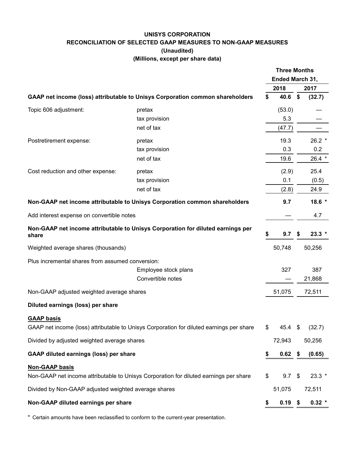# **UNISYS CORPORATION RECONCILIATION OF SELECTED GAAP MEASURES TO NON-GAAP MEASURES (Unaudited) (Millions, except per share data)**

|                                                      |                                                                                          | <b>Three Months</b><br>Ended March 31, |              |    |                |
|------------------------------------------------------|------------------------------------------------------------------------------------------|----------------------------------------|--------------|----|----------------|
|                                                      |                                                                                          |                                        |              |    |                |
|                                                      | GAAP net income (loss) attributable to Unisys Corporation common shareholders            | \$                                     | 2018<br>40.6 | \$ | 2017<br>(32.7) |
|                                                      |                                                                                          |                                        |              |    |                |
| Topic 606 adjustment:                                | pretax                                                                                   |                                        | (53.0)       |    |                |
|                                                      | tax provision                                                                            |                                        | 5.3          |    |                |
|                                                      | net of tax                                                                               |                                        | (47.7)       |    |                |
| Postretirement expense:                              | pretax                                                                                   |                                        | 19.3         |    | $26.2$ *       |
|                                                      | tax provision                                                                            |                                        | 0.3          |    | 0.2            |
|                                                      | net of tax                                                                               |                                        | 19.6         |    | 26.4 *         |
| Cost reduction and other expense:                    | pretax                                                                                   |                                        | (2.9)        |    | 25.4           |
|                                                      | tax provision                                                                            |                                        | 0.1          |    | (0.5)          |
|                                                      | net of tax                                                                               |                                        | (2.8)        |    | 24.9           |
|                                                      | Non-GAAP net income attributable to Unisys Corporation common shareholders               |                                        | 9.7          |    | $18.6*$        |
| Add interest expense on convertible notes            |                                                                                          |                                        |              |    | 4.7            |
| share                                                | Non-GAAP net income attributable to Unisys Corporation for diluted earnings per          | \$                                     | 9.7          | \$ | $23.3*$        |
| Weighted average shares (thousands)                  |                                                                                          |                                        | 50,748       |    | 50,256         |
| Plus incremental shares from assumed conversion:     |                                                                                          |                                        |              |    |                |
|                                                      | Employee stock plans                                                                     |                                        | 327          |    | 387            |
|                                                      | Convertible notes                                                                        |                                        |              |    | 21,868         |
| Non-GAAP adjusted weighted average shares            |                                                                                          |                                        | 51,075       |    | 72,511         |
| Diluted earnings (loss) per share                    |                                                                                          |                                        |              |    |                |
| <b>GAAP basis</b>                                    |                                                                                          |                                        |              |    |                |
|                                                      | GAAP net income (loss) attributable to Unisys Corporation for diluted earnings per share | \$                                     | 45.4 \$      |    | (32.7)         |
| Divided by adjusted weighted average shares          |                                                                                          |                                        | 72,943       |    | 50,256         |
| <b>GAAP diluted earnings (loss) per share</b>        |                                                                                          | S                                      | $0.62$ \$    |    | (0.65)         |
| <b>Non-GAAP basis</b>                                |                                                                                          |                                        |              |    |                |
|                                                      | Non-GAAP net income attributable to Unisys Corporation for diluted earnings per share    | \$                                     | 9.7          | \$ | $23.3*$        |
| Divided by Non-GAAP adjusted weighted average shares |                                                                                          |                                        | 51,075       |    | 72,511         |
| Non-GAAP diluted earnings per share                  |                                                                                          | \$                                     | $0.19$ \$    |    | $0.32$ *       |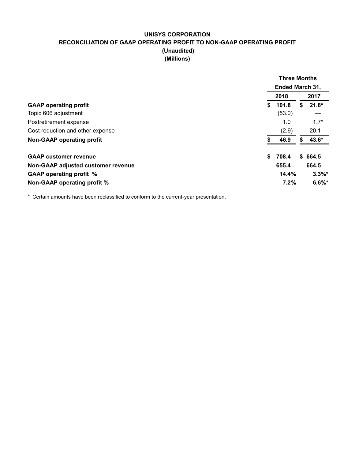# **UNISYS CORPORATION RECONCILIATION OF GAAP OPERATING PROFIT TO NON-GAAP OPERATING PROFIT (Unaudited) (Millions)**

|                                    | <b>Three Months</b>    |              |  |  |
|------------------------------------|------------------------|--------------|--|--|
|                                    | <b>Ended March 31,</b> |              |  |  |
|                                    | 2018                   | 2017         |  |  |
| <b>GAAP</b> operating profit       | \$<br>101.8            | $21.8*$<br>S |  |  |
| Topic 606 adjustment               | (53.0)                 |              |  |  |
| Postretirement expense             | 1.0                    | $1.7*$       |  |  |
| Cost reduction and other expense   | (2.9)                  | 20.1         |  |  |
| <b>Non-GAAP operating profit</b>   | 46.9                   | 43.6*        |  |  |
| <b>GAAP customer revenue</b>       | \$<br>708.4            | \$664.5      |  |  |
| Non-GAAP adjusted customer revenue | 655.4                  | 664.5        |  |  |
| <b>GAAP operating profit %</b>     | 14.4%                  | $3.3\%$ *    |  |  |
| Non-GAAP operating profit %        | 7.2%                   | $6.6\%$ *    |  |  |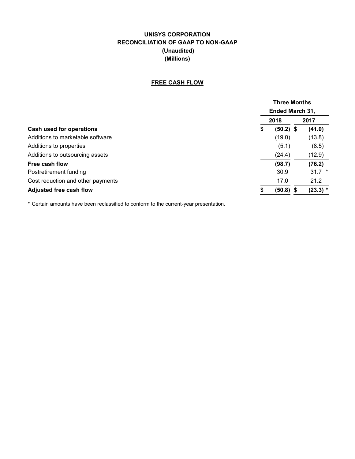# **UNISYS CORPORATION RECONCILIATION OF GAAP TO NON-GAAP (Unaudited) (Millions)**

#### **FREE CASH FLOW**

|                                   |                        | <b>Three Months</b> |            |  |  |  |
|-----------------------------------|------------------------|---------------------|------------|--|--|--|
|                                   | <b>Ended March 31,</b> |                     |            |  |  |  |
|                                   | 2018                   |                     | 2017       |  |  |  |
| Cash used for operations          | \$                     | $(50.2)$ \$         | (41.0)     |  |  |  |
| Additions to marketable software  |                        | (19.0)              | (13.8)     |  |  |  |
| Additions to properties           |                        | (5.1)               | (8.5)      |  |  |  |
| Additions to outsourcing assets   |                        | (24.4)              | (12.9)     |  |  |  |
| Free cash flow                    |                        | (98.7)              | (76.2)     |  |  |  |
| Postretirement funding            |                        | 30.9                | $31.7$ *   |  |  |  |
| Cost reduction and other payments |                        | 17.0                | 21.2       |  |  |  |
| <b>Adjusted free cash flow</b>    |                        | $(50.8)$ \$         | $(23.3)$ * |  |  |  |